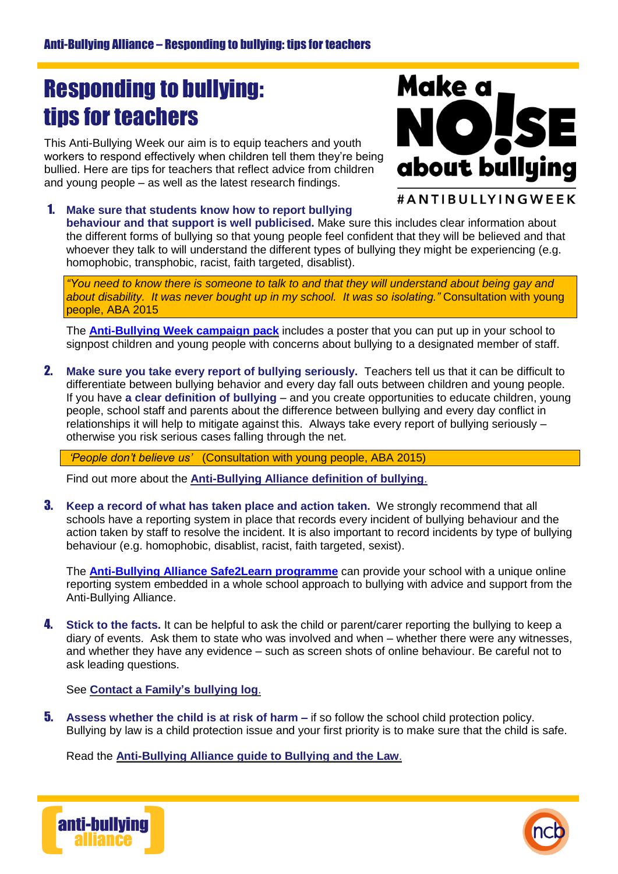## Responding to bullying: tips for teachers

This Anti-Bullying Week our aim is to equip teachers and youth workers to respond effectively when children tell them they're being bullied. Here are tips for teachers that reflect advice from children and young people – as well as the latest research findings.



1. **Make sure that students know how to report bullying behaviour and that support is well publicised.** Make sure this includes clear information about the different forms of bullying so that young people feel confident that they will be believed and that whoever they talk to will understand the different types of bullying they might be experiencing (e.g. homophobic, transphobic, racist, faith targeted, disablist).

"You need to know there is someone to talk to and that they will understand about being gay and *about disability. It was never bought up in my school. It was so isolating."* Consultation with young people, ABA 2015

The **[Anti-Bullying](http://www.anti-bullyingalliance.org.uk/anti-bullying-week/resources/) Week campaign pack** includes a poster that you can put up in your school to signpost children and young people with concerns about bullying to a designated member of staff.

2. **Make sure you take every report of bullying seriously.** Teachers tell us that it can be difficult to differentiate between bullying behavior and every day fall outs between children and young people. If you have **a clear definition of bullying** – and you create opportunities to educate children, young people, school staff and parents about the difference between bullying and every day conflict in relationships it will help to mitigate against this. Always take every report of bullying seriously – otherwise you risk serious cases falling through the net.

*'People don't believe us'* (Consultation with young people, ABA 2015)

Find out more about the **[Anti-Bullying Alliance definition of bullying](https://www.youtube.com/watch?v=lKz3bcFMhO0)**.

3. **Keep a record of what has taken place and action taken.** We strongly recommend that all schools have a reporting system in place that records every incident of bullying behaviour and the action taken by staff to resolve the incident. It is also important to record incidents by type of bullying behaviour (e.g. homophobic, disablist, racist, faith targeted, sexist).

The **[Anti-Bullying](http://www.safe2learn.org.uk/) Alliance Safe2Learn programme** can provide your school with a unique online reporting system embedded in a whole school approach to bullying with advice and support from the Anti-Bullying Alliance.

4. **Stick to the facts.** It can be helpful to ask the child or parent/carer reporting the bullying to keep a diary of events. Ask them to state who was involved and when – whether there were any witnesses, and whether they have any evidence – such as screen shots of online behaviour. Be careful not to ask leading questions.

See **Contact a [Family's](http://www.cafamily.org.uk/media/731995/bullying_log_table.pdf) bullying log**.

5. **Assess whether the child is at risk of harm –** if so follow the school child protection policy. Bullying by law is a child protection issue and your first priority is to make sure that the child is safe.

Read the **[Anti-Bullying](http://anti-bullyingalliance.org.uk/resources/bullying-and-the-law/) Alliance guide to Bullying and the Law**.



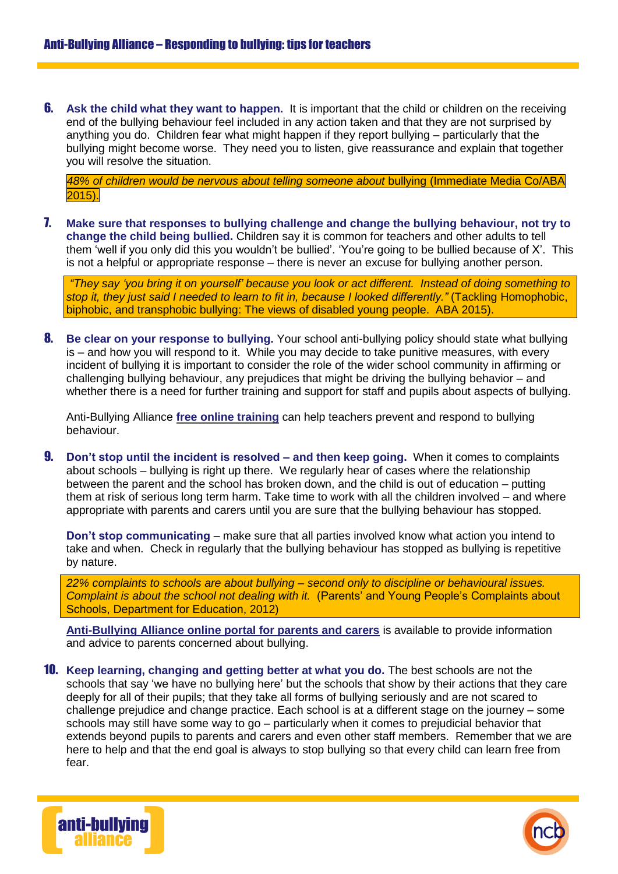6. **Ask the child what they want to happen.** It is important that the child or children on the receiving end of the bullying behaviour feel included in any action taken and that they are not surprised by anything you do. Children fear what might happen if they report bullying – particularly that the bullying might become worse. They need you to listen, give reassurance and explain that together you will resolve the situation.

*48% of children would be nervous about telling someone about* bullying (Immediate Media Co/ABA  $2015$ ).

7. **Make sure that responses to bullying challenge and change the bullying behaviour, not try to change the child being bullied.** Children say it is common for teachers and other adults to tell them 'well if you only did this you wouldn't be bullied'. 'You're going to be bullied because of X'. This is not a helpful or appropriate response – there is never an excuse for bullying another person.

*"They say 'you bring it on yourself' because you look or act different. Instead of doing something to stop it, they just said I needed to learn to fit in, because I looked differently."* (Tackling Homophobic, biphobic, and transphobic bullying: The views of disabled young people. ABA 2015).

8. **Be clear on your response to bullying.** Your school anti-bullying policy should state what bullying is – and how you will respond to it. While you may decide to take punitive measures, with every incident of bullying it is important to consider the role of the wider school community in affirming or challenging bullying behaviour, any prejudices that might be driving the bullying behavior – and whether there is a need for further training and support for staff and pupils about aspects of bullying.

Anti-Bullying Alliance **free online [training](http://www.anti-bullyingalliance.org.uk/onlinetraining)** can help teachers prevent and respond to bullying behaviour.

9. **Don't stop until the incident is resolved – and then keep going.** When it comes to complaints about schools – bullying is right up there. We regularly hear of cases where the relationship between the parent and the school has broken down, and the child is out of education – putting them at risk of serious long term harm. Take time to work with all the children involved – and where appropriate with parents and carers until you are sure that the bullying behaviour has stopped.

**Don't stop communicating** – make sure that all parties involved know what action you intend to take and when. Check in regularly that the bullying behaviour has stopped as bullying is repetitive by nature.

*22% complaints to schools are about bullying – second only to discipline or behavioural issues. Complaint is about the school not dealing with it.* (Parents' and Young People's Complaints about Schools, Department for Education, 2012)

**[Anti-Bullying Alliance online portal for parents and carers](http://www.anti-bullyingalliance.org.uk/parentportal)** is available to provide information and advice to parents concerned about bullying.

10. **Keep learning, changing and getting better at what you do.** The best schools are not the schools that say 'we have no bullying here' but the schools that show by their actions that they care deeply for all of their pupils; that they take all forms of bullying seriously and are not scared to challenge prejudice and change practice. Each school is at a different stage on the journey – some schools may still have some way to go – particularly when it comes to prejudicial behavior that extends beyond pupils to parents and carers and even other staff members. Remember that we are here to help and that the end goal is always to stop bullying so that every child can learn free from fear.